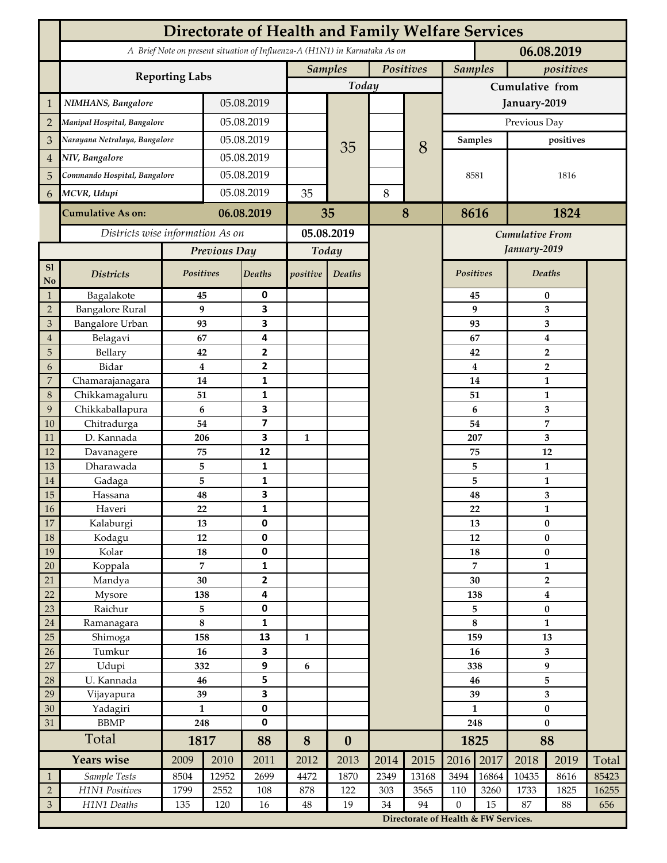|                                  | Directorate of Health and Family Welfare Services                                        |                               |                |                                |              |                             |       |                                      |                     |                             |                                |          |       |  |
|----------------------------------|------------------------------------------------------------------------------------------|-------------------------------|----------------|--------------------------------|--------------|-----------------------------|-------|--------------------------------------|---------------------|-----------------------------|--------------------------------|----------|-------|--|
|                                  | A Brief Note on present situation of Influenza-A (H1N1) in Karnataka As on<br>06.08.2019 |                               |                |                                |              |                             |       |                                      |                     |                             |                                |          |       |  |
|                                  |                                                                                          |                               |                |                                |              | <b>Samples</b><br>Positives |       |                                      |                     | <b>Samples</b><br>positives |                                |          |       |  |
|                                  | <b>Reporting Labs</b>                                                                    |                               |                |                                | Today        |                             |       |                                      | Cumulative from     |                             |                                |          |       |  |
| $\mathbf 1$                      | NIMHANS, Bangalore                                                                       | 05.08.2019                    |                |                                |              |                             |       | January-2019                         |                     |                             |                                |          |       |  |
| $\overline{2}$                   | Manipal Hospital, Bangalore                                                              |                               | 05.08.2019     |                                |              |                             |       |                                      | Previous Day        |                             |                                |          |       |  |
| 3                                |                                                                                          | Narayana Netralaya, Bangalore |                | 05.08.2019                     |              |                             |       |                                      |                     | <b>Samples</b>              | positives                      |          |       |  |
| $\overline{4}$                   | NIV, Bangalore                                                                           |                               |                | 05.08.2019                     |              | 35                          |       | 8                                    |                     |                             |                                |          |       |  |
| 5                                | Commando Hospital, Bangalore                                                             |                               | 05.08.2019     |                                |              |                             |       |                                      | 8581                |                             | 1816                           |          |       |  |
| 6                                | MCVR, Udupi                                                                              |                               | 05.08.2019     |                                | 35           |                             | $8\,$ |                                      |                     |                             |                                |          |       |  |
|                                  |                                                                                          |                               |                |                                |              |                             |       |                                      |                     |                             |                                |          |       |  |
|                                  | <b>Cumulative As on:</b>                                                                 | 06.08.2019                    |                | 35                             |              | 8                           |       |                                      | 8616<br>1824        |                             |                                |          |       |  |
|                                  | Districts wise information As on                                                         |                               |                | 05.08.2019                     |              |                             |       | Cumulative From                      |                     |                             |                                |          |       |  |
|                                  |                                                                                          | Previous Day                  |                | Today                          |              |                             |       |                                      | January-2019        |                             |                                |          |       |  |
| S1<br>No                         | <b>Districts</b>                                                                         | Positives                     |                | Deaths                         | positive     | Deaths                      |       |                                      | Positives           |                             | Deaths                         |          |       |  |
| $\mathbf{1}$                     | Bagalakote                                                                               | 45                            |                | 0                              |              |                             |       |                                      |                     | 45                          | 0                              |          |       |  |
| $\overline{2}$                   | <b>Bangalore Rural</b>                                                                   | 9                             |                | $\overline{\mathbf{3}}$        |              |                             |       |                                      |                     | 9                           | 3                              |          |       |  |
| $\mathfrak{Z}$<br>$\overline{4}$ | Bangalore Urban<br>Belagavi                                                              | 93<br>67                      |                | 3<br>4                         |              |                             |       |                                      |                     | 93<br>67                    |                                | 3        |       |  |
| 5                                | Bellary                                                                                  | 42                            |                | $\overline{2}$                 |              |                             |       |                                      |                     | 42                          | $\bf{4}$<br>$\overline{2}$     |          |       |  |
| 6                                | Bidar                                                                                    |                               | 4              | $\mathbf{2}$                   |              |                             |       |                                      |                     | $\overline{\mathbf{4}}$     | $\overline{2}$                 |          |       |  |
| $\boldsymbol{7}$                 | Chamarajanagara                                                                          | 14                            |                | 1                              |              |                             |       |                                      | 14                  |                             | $\mathbf{1}$                   |          |       |  |
| $\,8\,$                          | Chikkamagaluru                                                                           | 51                            |                | 1                              |              |                             |       |                                      |                     | 51                          |                                | 1        |       |  |
| 9                                | Chikkaballapura                                                                          | 6                             |                | 3                              |              |                             |       |                                      | 6                   |                             | 3                              |          |       |  |
| 10                               | Chitradurga                                                                              | 54                            |                | $\overline{\mathbf{z}}$        |              |                             |       |                                      | 54<br>207           |                             | 7                              |          |       |  |
| 11<br>12                         | D. Kannada<br>Davanagere                                                                 | 206<br>75                     |                | 3<br>12                        | $\mathbf{1}$ |                             |       |                                      |                     | 75                          | 3<br>12                        |          |       |  |
| 13                               | Dharawada                                                                                | 5                             |                | $\mathbf{1}$                   |              |                             |       |                                      |                     | 5                           | $\mathbf{1}$                   |          |       |  |
| $14\,$                           | Gadaga                                                                                   | 5                             |                | 1                              |              |                             |       |                                      |                     | 5                           | $\mathbf{1}$                   |          |       |  |
| 15                               | Hassana                                                                                  | 48                            |                | 3                              |              |                             |       |                                      |                     | 48                          |                                | 3        |       |  |
| $16\,$                           | Haveri                                                                                   | 22                            |                | 1                              |              |                             |       |                                      |                     | 22                          | $\mathbf{1}$                   |          |       |  |
| $17\,$                           | Kalaburgi                                                                                | 13                            |                | $\mathbf 0$                    |              |                             |       |                                      | 13                  |                             | $\bf{0}$                       |          |       |  |
| $18\,$                           | Kodagu                                                                                   | $12\,$                        |                | $\pmb{0}$                      |              |                             |       |                                      | $12\,$              |                             |                                | $\bf{0}$ |       |  |
| 19                               | Kolar                                                                                    | 18                            |                | $\pmb{0}$                      |              |                             |       |                                      | 18                  |                             | $\pmb{0}$                      |          |       |  |
| $20\,$                           | Koppala                                                                                  | 30                            | $\overline{7}$ | $\mathbf{1}$<br>$\overline{2}$ |              |                             |       |                                      | 7<br>30             |                             | $\mathbf{1}$<br>$\overline{2}$ |          |       |  |
| 21<br>22                         | Mandya<br>Mysore                                                                         | 138                           |                | $\overline{\mathbf{4}}$        |              |                             |       |                                      | 138                 |                             | $\boldsymbol{4}$               |          |       |  |
| 23                               | Raichur                                                                                  | 5                             |                | $\pmb{0}$                      |              |                             |       |                                      | 5                   |                             | $\pmb{0}$                      |          |       |  |
| $24\,$                           | Ramanagara                                                                               | $\bf 8$                       |                | $\mathbf 1$                    |              |                             |       |                                      | $\bf 8$             |                             | $\mathbf{1}$                   |          |       |  |
| 25                               | Shimoga                                                                                  | 158                           |                | 13                             | $\mathbf{1}$ |                             |       |                                      | 159                 |                             | 13                             |          |       |  |
| 26                               | Tumkur                                                                                   | 16                            |                | 3                              |              |                             |       |                                      |                     | 16                          | 3                              |          |       |  |
| $27\,$                           | Udupi                                                                                    | 332                           |                | $\boldsymbol{9}$               | 6            |                             |       |                                      | 338                 |                             | 9                              |          |       |  |
| 28                               | U. Kannada                                                                               | 46                            |                | 5                              |              |                             |       |                                      | 46                  |                             | 5                              |          |       |  |
| 29                               | Vijayapura                                                                               | 39                            |                | $\overline{\mathbf{3}}$        |              |                             |       |                                      | 39                  |                             | 3                              |          |       |  |
| $30\,$<br>31                     | Yadagiri<br>${\rm BBMP}$                                                                 | $\mathbf{1}$<br>248           |                | $\pmb{0}$<br>$\pmb{0}$         |              |                             |       |                                      | $\mathbf{1}$<br>248 |                             | $\pmb{0}$<br>$\bf{0}$          |          |       |  |
|                                  | Total                                                                                    |                               | 1817           |                                | 8            | $\boldsymbol{0}$            |       |                                      |                     | 1825                        | 88                             |          |       |  |
|                                  | <b>Years wise</b>                                                                        | 2009<br>2010                  |                | 88<br>2011                     | 2012         | 2013                        | 2014  | 2015                                 | 2016                | 2017                        | 2018                           | 2019     | Total |  |
| $\mathbf{1}$                     | Sample Tests                                                                             | 8504                          | 12952          | 2699                           | 4472         | 1870                        | 2349  | 13168                                | 3494                | 16864                       | 10435                          | 8616     | 85423 |  |
| $\sqrt{2}$                       | H1N1 Positives                                                                           | 1799                          | 2552           | 108                            | 878          | 122                         | 303   | 3565                                 | 110                 | 3260                        | 1733                           | 1825     | 16255 |  |
| $\mathfrak{Z}$                   | H1N1 Deaths                                                                              | 135                           | 120            | 16                             | 48           | 19                          | 34    | 94                                   | $\boldsymbol{0}$    | 15                          | 87                             | 88       | 656   |  |
|                                  |                                                                                          |                               |                |                                |              |                             |       | Directorate of Health & FW Services. |                     |                             |                                |          |       |  |